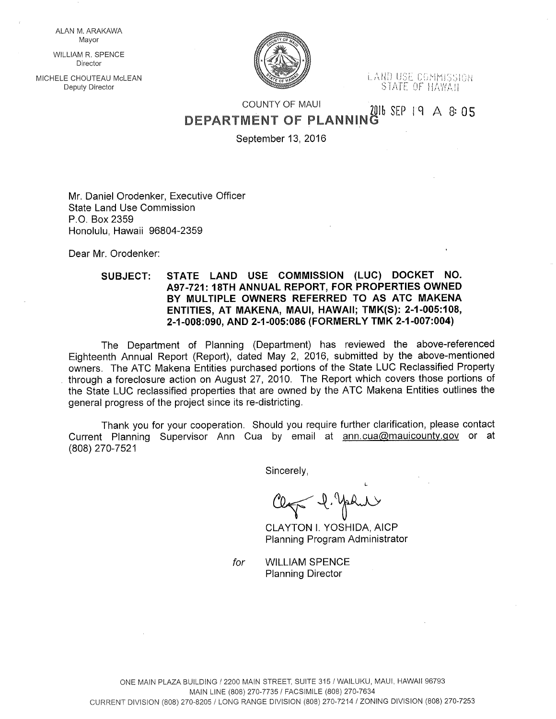ALAN M. ARAKAWA Mayor

WILLIAM R. SPENCE Director

MICHELE CHOUTEAU McLEAN



Deputy Director NoLEAN Deputy Director in the second of the second of the second of the second of the second o<br>Deputy Director STATE OF HAWAII

## COUNTY OF MAUL  $2016$  SEP 19 A 8:05 DEPARTMENT OF PLANNIN

September 13, 2016

Mr. Daniel Orodenker, Executive Officer State Land Use Commission P.O. Box 2359 Honolulu, Hawaii 96804-2359

Dear Mr. Orodenker:

## SUBJECT: STATE LAND USE COMMISSION (LUC) DOCKET NO. A97-721: 18TH ANNUAL REPORT, FOR PROPERTIES OWNED BY MULTIPLE OWNERS REFERRED TO AS ATC MAKENA ENTITIES, AT MAKENA, MAUl, HAWAII; TMK(S): 2-1-005:108, 2-1-008:090, AND 2-1-005:086 (FORMERLY TMK 2-1-007:004)

The Department of Planning (Department) has reviewed the above-referenced Eighteenth Annual Report (Report), dated May 2, 2016, submitted by the above-mentioned owners. The ATC Makena Entities purchased portions of the State LUC Reclassified Property through a foreclosure action on August 27, 2010. The Report which covers those portions of the State LUC reclassified properties that are owned by the ATC Makena Entities outlines the general progress of the project since its re-districting

Thank you for your cooperation. Should you require further clarification, please contact Current Planning Supervisor Ann Cua by email at ann.cua@mauicounty.gov or at (808) 270-7521

Sincerely,

L  $\le$   $\forall$ .

CLAYTON I. YOSHIDA, AICP Planning Program Administrator

for WILLIAM SPENCE Planning Director